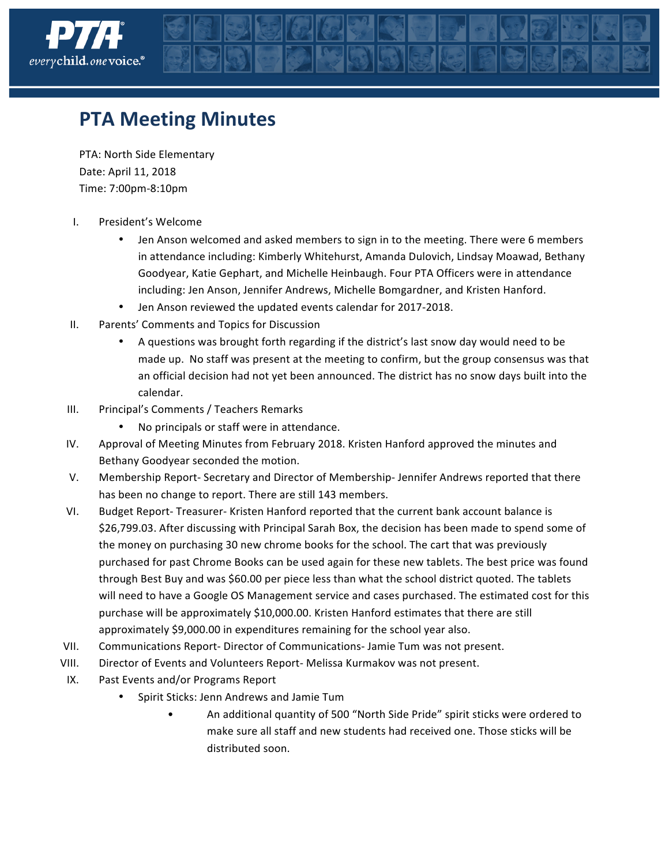

## **PTA Meeting Minutes**

PTA: North Side Elementary Date: April 11, 2018 Time: 7:00pm-8:10pm

- I. President's Welcome
	- Jen Anson welcomed and asked members to sign in to the meeting. There were 6 members in attendance including: Kimberly Whitehurst, Amanda Dulovich, Lindsay Moawad, Bethany Goodyear, Katie Gephart, and Michelle Heinbaugh. Four PTA Officers were in attendance including: Jen Anson, Jennifer Andrews, Michelle Bomgardner, and Kristen Hanford.
	- Jen Anson reviewed the updated events calendar for 2017-2018.
- II. Parents' Comments and Topics for Discussion
	- A questions was brought forth regarding if the district's last snow day would need to be made up. No staff was present at the meeting to confirm, but the group consensus was that an official decision had not yet been announced. The district has no snow days built into the calendar.
- III. Principal's Comments / Teachers Remarks
	- No principals or staff were in attendance.
- IV. Approval of Meeting Minutes from February 2018. Kristen Hanford approved the minutes and Bethany Goodyear seconded the motion.
- V. Membership Report- Secretary and Director of Membership-Jennifer Andrews reported that there has been no change to report. There are still 143 members.
- VI. Budget Report-Treasurer- Kristen Hanford reported that the current bank account balance is \$26,799.03. After discussing with Principal Sarah Box, the decision has been made to spend some of the money on purchasing 30 new chrome books for the school. The cart that was previously purchased for past Chrome Books can be used again for these new tablets. The best price was found through Best Buy and was \$60.00 per piece less than what the school district quoted. The tablets will need to have a Google OS Management service and cases purchased. The estimated cost for this purchase will be approximately \$10,000.00. Kristen Hanford estimates that there are still approximately \$9,000.00 in expenditures remaining for the school year also.
- VII. Communications Report- Director of Communications- Jamie Tum was not present.
- VIII. Director of Events and Volunteers Report- Melissa Kurmakov was not present.
- IX. Past Events and/or Programs Report
	- Spirit Sticks: Jenn Andrews and Jamie Tum
		- An additional quantity of 500 "North Side Pride" spirit sticks were ordered to make sure all staff and new students had received one. Those sticks will be distributed soon.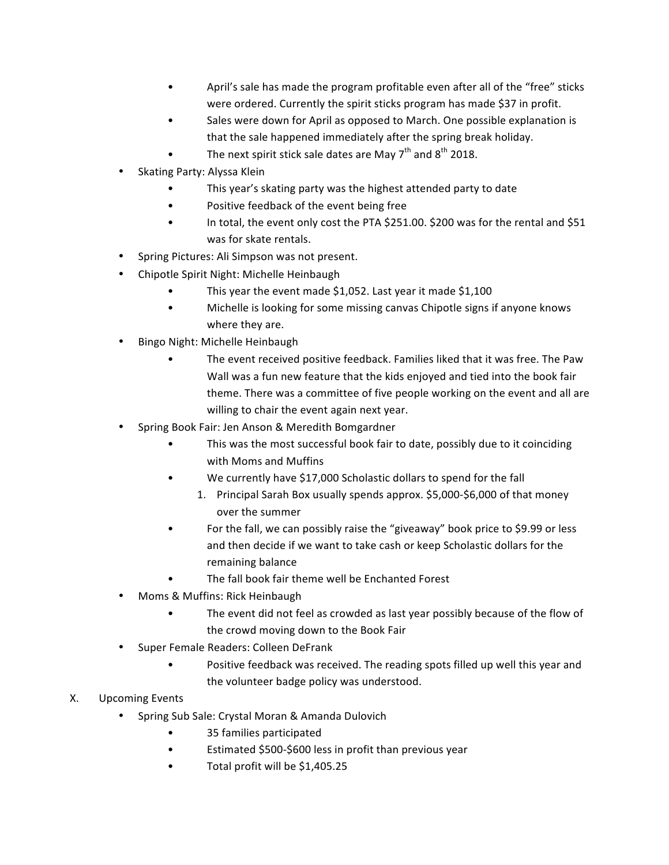- April's sale has made the program profitable even after all of the "free" sticks were ordered. Currently the spirit sticks program has made \$37 in profit.
- Sales were down for April as opposed to March. One possible explanation is that the sale happened immediately after the spring break holiday.
- The next spirit stick sale dates are May  $7<sup>th</sup>$  and  $8<sup>th</sup>$  2018.
- Skating Party: Alyssa Klein
	- This year's skating party was the highest attended party to date
	- Positive feedback of the event being free
	- In total, the event only cost the PTA \$251.00. \$200 was for the rental and \$51 was for skate rentals.
- Spring Pictures: Ali Simpson was not present.
- Chipotle Spirit Night: Michelle Heinbaugh
	- This year the event made \$1,052. Last year it made \$1,100
	- Michelle is looking for some missing canvas Chipotle signs if anyone knows where they are.
- Bingo Night: Michelle Heinbaugh
	- The event received positive feedback. Families liked that it was free. The Paw Wall was a fun new feature that the kids enjoyed and tied into the book fair theme. There was a committee of five people working on the event and all are willing to chair the event again next year.
- Spring Book Fair: Jen Anson & Meredith Bomgardner
	- This was the most successful book fair to date, possibly due to it coinciding with Moms and Muffins
	- We currently have \$17,000 Scholastic dollars to spend for the fall
		- 1. Principal Sarah Box usually spends approx. \$5,000-\$6,000 of that money over the summer
	- For the fall, we can possibly raise the "giveaway" book price to \$9.99 or less and then decide if we want to take cash or keep Scholastic dollars for the remaining balance
	- The fall book fair theme well be Enchanted Forest
- Moms & Muffins: Rick Heinbaugh
	- The event did not feel as crowded as last year possibly because of the flow of the crowd moving down to the Book Fair
- Super Female Readers: Colleen DeFrank
	- Positive feedback was received. The reading spots filled up well this year and the volunteer badge policy was understood.
- X. Upcoming Events
	- Spring Sub Sale: Crystal Moran & Amanda Dulovich
		- 35 families participated
		- Estimated \$500-\$600 less in profit than previous year
		- Total profit will be \$1,405.25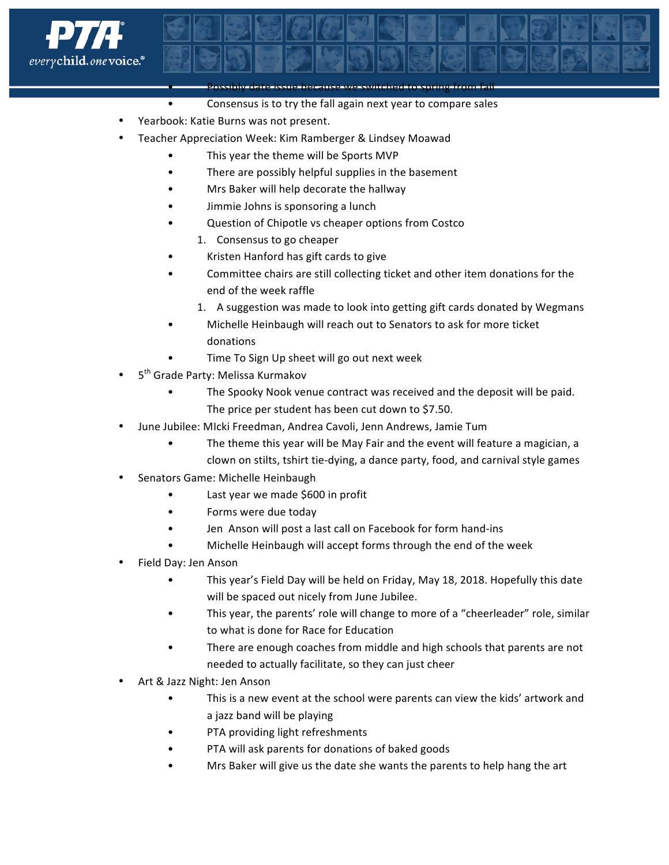

• Possibly date issue because we switched to spring from fall

- Consensus is to try the fall again next year to compare sales
- Yearbook: Katie Burns was not present.
- Teacher Appreciation Week: Kim Ramberger & Lindsey Moawad
	- This year the theme will be Sports MVP
	- There are possibly helpful supplies in the basement
	- Mrs Baker will help decorate the hallway
	- Jimmie Johns is sponsoring a lunch
	- Question of Chipotle vs cheaper options from Costco
		- 1. Consensus to go cheaper
	- Kristen Hanford has gift cards to give
	- Committee chairs are still collecting ticket and other item donations for the end of the week raffle
		- 1. A suggestion was made to look into getting gift cards donated by Wegmans
	- Michelle Heinbaugh will reach out to Senators to ask for more ticket donations
		- Time To Sign Up sheet will go out next week
- 5<sup>th</sup> Grade Party: Melissa Kurmakov
	- The Spooky Nook venue contract was received and the deposit will be paid. The price per student has been cut down to \$7.50.
- June Jubilee: MIcki Freedman, Andrea Cavoli, Jenn Andrews, Jamie Tum
	- The theme this year will be May Fair and the event will feature a magician, a clown on stilts, tshirt tie-dying, a dance party, food, and carnival style games
- Senators Game: Michelle Heinbaugh
	- Last year we made \$600 in profit
	- Forms were due today
	- Jen Anson will post a last call on Facebook for form hand-ins
	- Michelle Heinbaugh will accept forms through the end of the week
- Field Day: Jen Anson
	- This year's Field Day will be held on Friday, May 18, 2018. Hopefully this date will be spaced out nicely from June Jubilee.
	- This year, the parents' role will change to more of a "cheerleader" role, similar to what is done for Race for Education
	- There are enough coaches from middle and high schools that parents are not needed to actually facilitate, so they can just cheer
- Art & Jazz Night: Jen Anson
	- This is a new event at the school were parents can view the kids' artwork and a jazz band will be playing
	- PTA providing light refreshments
	- PTA will ask parents for donations of baked goods
	- Mrs Baker will give us the date she wants the parents to help hang the art